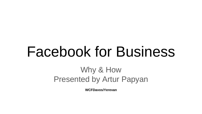# Facebook for Business

## Why & How Presented by Artur Papyan

**WCFDavos/Yerevan**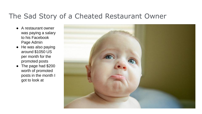#### The Sad Story of a Cheated Restaurant Owner

- A restaurant owner was paying a salary to his Facebook Page Admin
- He was also paying around \$1050 US per month for the promoted posts
- The page had \$200 worth of promoted posts in the month I got to look at

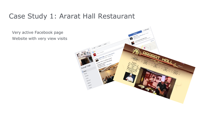#### Case Study 1: Ararat Hall Restaurant

Very active Facebook page Website with very view visits

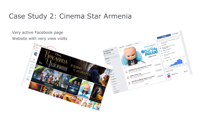#### Case Study 2: Cinema Star Armenia

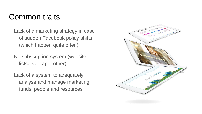## Common traits

Lack of a marketing strategy in case of sudden Facebook policy shifts (which happen quite often)

No subscription system (website, listserver, app, other)

Lack of a system to adequately analyse and manage marketing funds, people and resources

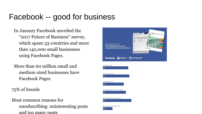## Facebook -- good for business

In January Facebook unveiled the "2017 Future of Business" survey, which spans 33 countries and more than 140,000 small businesses using Facebook Pages.

More than 60 million small and medium sized businesses have Facebook Pages

75% of brands

Most common reasons for unsubscribing: uninteresting posts and too many posts

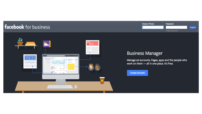#### facebook for business



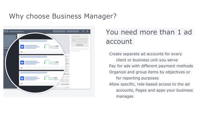#### Why choose Business Manager?



## You need more than 1 ad account

Create separate ad accounts for every client or business unit you serve Pay for ads with different payment methods Organize and group items by objectives or for reporting purposes Allow specific, role-based access to the ad accounts, Pages and apps your business manages